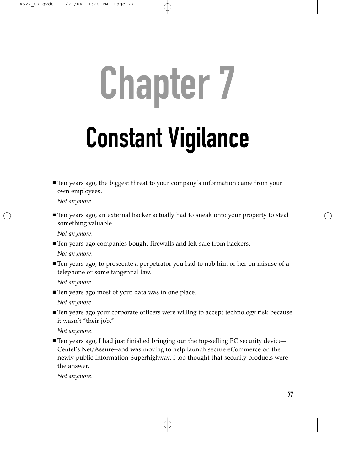# Chapter 7 Constant Vigilance

■ Ten years ago, the biggest threat to your company's information came from your own employees.

*Not anymore.* 

■ Ten years ago, an external hacker actually had to sneak onto your property to steal something valuable.

*Not anymore*.

- Ten years ago companies bought firewalls and felt safe from hackers. *Not anymore*.
- Ten years ago, to prosecute a perpetrator you had to nab him or her on misuse of a telephone or some tangential law.

*Not anymore*.

■ Ten years ago most of your data was in one place.

*Not anymore*.

■ Ten years ago your corporate officers were willing to accept technology risk because it wasn't "their job."

*Not anymore*.

■ Ten years ago, I had just finished bringing out the top-selling PC security device— Centel's Net/Assure—and was moving to help launch secure eCommerce on the newly public Information Superhighway. I too thought that security products were the answer.

*Not anymore*.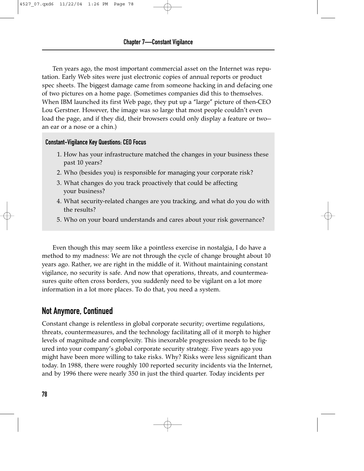Ten years ago, the most important commercial asset on the Internet was reputation. Early Web sites were just electronic copies of annual reports or product spec sheets. The biggest damage came from someone hacking in and defacing one of two pictures on a home page. (Sometimes companies did this to themselves. When IBM launched its first Web page, they put up a "large" picture of then-CEO Lou Gerstner. However, the image was so large that most people couldn't even load the page, and if they did, their browsers could only display a feature or two an ear or a nose or a chin.)

### Constant-Vigilance Key Questions: CEO Focus

- 1. How has your infrastructure matched the changes in your business these past 10 years?
- 2. Who (besides you) is responsible for managing your corporate risk?
- 3. What changes do you track proactively that could be affecting your business?
- 4. What security-related changes are you tracking, and what do you do with the results?
- 5. Who on your board understands and cares about your risk governance?

Even though this may seem like a pointless exercise in nostalgia, I do have a method to my madness: We are not through the cycle of change brought about 10 years ago. Rather, we are right in the middle of it. Without maintaining constant vigilance, no security is safe. And now that operations, threats, and countermeasures quite often cross borders, you suddenly need to be vigilant on a lot more information in a lot more places. To do that, you need a system.

# Not Anymore, Continued

Constant change is relentless in global corporate security; overtime regulations, threats, countermeasures, and the technology facilitating all of it morph to higher levels of magnitude and complexity. This inexorable progression needs to be figured into your company's global corporate security strategy. Five years ago you might have been more willing to take risks. Why? Risks were less significant than today. In 1988, there were roughly 100 reported security incidents via the Internet, and by 1996 there were nearly 350 in just the third quarter. Today incidents per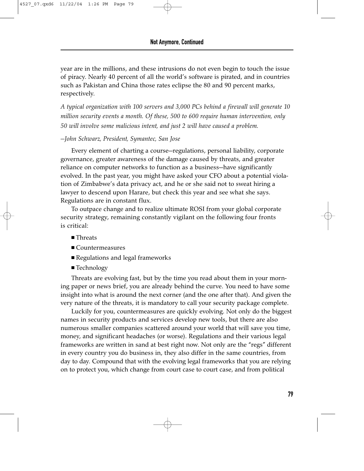Not Anymore, Continued

year are in the millions, and these intrusions do not even begin to touch the issue of piracy. Nearly 40 percent of all the world's software is pirated, and in countries such as Pakistan and China those rates eclipse the 80 and 90 percent marks, respectively.

*A typical organization with 100 servers and 3,000 PCs behind a firewall will generate 10 million security events a month. Of these, 500 to 600 require human intervention, only 50 will involve some malicious intent, and just 2 will have caused a problem.* 

### *—John Schwarz, President, Symantec, San Jose*

Every element of charting a course—regulations, personal liability, corporate governance, greater awareness of the damage caused by threats, and greater reliance on computer networks to function as a business—have significantly evolved. In the past year, you might have asked your CFO about a potential violation of Zimbabwe's data privacy act, and he or she said not to sweat hiring a lawyer to descend upon Harare, but check this year and see what she says. Regulations are in constant flux.

To outpace change and to realize ultimate ROSI from your global corporate security strategy, remaining constantly vigilant on the following four fronts is critical:

- Threats
- Countermeasures
- Regulations and legal frameworks
- Technology

Threats are evolving fast, but by the time you read about them in your morning paper or news brief, you are already behind the curve. You need to have some insight into what is around the next corner (and the one after that). And given the very nature of the threats, it is mandatory to call your security package complete.

Luckily for you, countermeasures are quickly evolving. Not only do the biggest names in security products and services develop new tools, but there are also numerous smaller companies scattered around your world that will save you time, money, and significant headaches (or worse). Regulations and their various legal frameworks are written in sand at best right now. Not only are the "regs" different in every country you do business in, they also differ in the same countries, from day to day. Compound that with the evolving legal frameworks that you are relying on to protect you, which change from court case to court case, and from political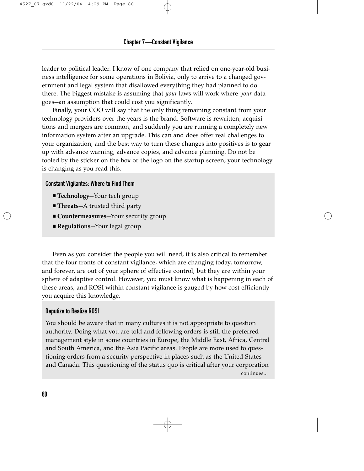leader to political leader. I know of one company that relied on one-year-old business intelligence for some operations in Bolivia, only to arrive to a changed government and legal system that disallowed everything they had planned to do there. The biggest mistake is assuming that *your* laws will work where *your* data goes—an assumption that could cost you significantly.

Finally, your COO will say that the only thing remaining constant from your technology providers over the years is the brand. Software is rewritten, acquisitions and mergers are common, and suddenly you are running a completely new information system after an upgrade. This can and does offer real challenges to your organization, and the best way to turn these changes into positives is to gear up with advance warning, advance copies, and advance planning. Do not be fooled by the sticker on the box or the logo on the startup screen; your technology is changing as you read this.

### Constant Vigilantes: Where to Find Them

- **Technology**—Your tech group
- **Threats**—A trusted third party
- **Countermeasures**—Your security group
- **Regulations**—Your legal group

Even as you consider the people you will need, it is also critical to remember that the four fronts of constant vigilance, which are changing today, tomorrow, and forever, are out of your sphere of effective control, but they are within your sphere of adaptive control. However, you must know what is happening in each of these areas, and ROSI within constant vigilance is gauged by how cost efficiently you acquire this knowledge.

### Deputize to Realize ROSI

You should be aware that in many cultures it is not appropriate to question authority. Doing what you are told and following orders is still the preferred management style in some countries in Europe, the Middle East, Africa, Central and South America, and the Asia Pacific areas. People are more used to questioning orders from a security perspective in places such as the United States and Canada. This questioning of the status quo is critical after your corporation continues…

80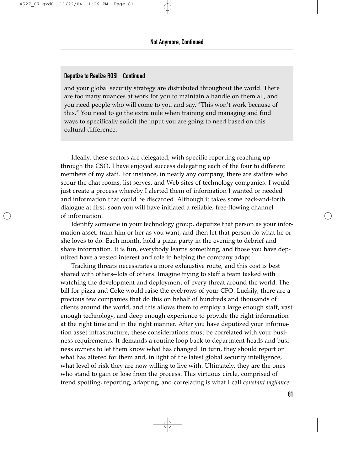Not Anymore, Continued

### Deputize to Realize ROSI Continued

and your global security strategy are distributed throughout the world. There are too many nuances at work for you to maintain a handle on them all, and you need people who will come to you and say, "This won't work because of this." You need to go the extra mile when training and managing and find ways to specifically solicit the input you are going to need based on this cultural difference.

Ideally, these sectors are delegated, with specific reporting reaching up through the CSO. I have enjoyed success delegating each of the four to different members of my staff. For instance, in nearly any company, there are staffers who scour the chat rooms, list serves, and Web sites of technology companies. I would just create a process whereby I alerted them of information I wanted or needed and information that could be discarded. Although it takes some back-and-forth dialogue at first, soon you will have initiated a reliable, free-flowing channel of information.

Identify someone in your technology group, deputize that person as your information asset, train him or her as you want, and then let that person do what he or she loves to do. Each month, hold a pizza party in the evening to debrief and share information. It is fun, everybody learns something, and those you have deputized have a vested interest and role in helping the company adapt.

Tracking threats necessitates a more exhaustive route, and this cost is best shared with others—lots of others. Imagine trying to staff a team tasked with watching the development and deployment of every threat around the world. The bill for pizza and Coke would raise the eyebrows of your CFO. Luckily, there are a precious few companies that do this on behalf of hundreds and thousands of clients around the world, and this allows them to employ a large enough staff, vast enough technology, and deep enough experience to provide the right information at the right time and in the right manner. After you have deputized your information asset infrastructure, these considerations must be correlated with your business requirements. It demands a routine loop back to department heads and business owners to let them know what has changed. In turn, they should report on what has altered for them and, in light of the latest global security intelligence, what level of risk they are now willing to live with. Ultimately, they are the ones who stand to gain or lose from the process. This virtuous circle, comprised of trend spotting, reporting, adapting, and correlating is what I call *constant vigilance*.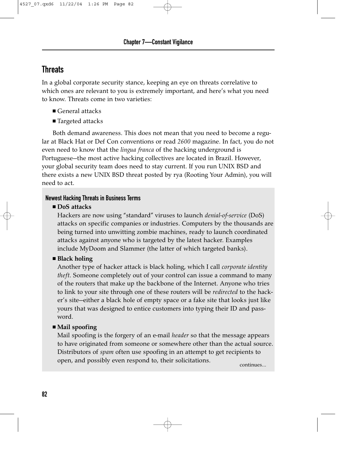# **Threats**

In a global corporate security stance, keeping an eye on threats correlative to which ones are relevant to you is extremely important, and here's what you need to know. Threats come in two varieties:

- General attacks
- Targeted attacks

Both demand awareness. This does not mean that you need to become a regular at Black Hat or Def Con conventions or read *2600* magazine. In fact, you do not even need to know that the *lingua franca* of the hacking underground is Portuguese—the most active hacking collectives are located in Brazil. However, your global security team does need to stay current. If you run UNIX BSD and there exists a new UNIX BSD threat posted by rya (Rooting Your Admin), you will need to act.

### Newest Hacking Threats in Business Terms

■ **DoS** attacks

Hackers are now using "standard" viruses to launch *denial-of-service* (DoS) attacks on specific companies or industries. Computers by the thousands are being turned into unwitting zombie machines, ready to launch coordinated attacks against anyone who is targeted by the latest hacker. Examples include MyDoom and Slammer (the latter of which targeted banks).

### ■ **Black holing**

Another type of hacker attack is black holing, which I call *corporate identity theft*. Someone completely out of your control can issue a command to many of the routers that make up the backbone of the Internet. Anyone who tries to link to your site through one of these routers will be *redirected* to the hacker's site—either a black hole of empty space or a fake site that looks just like yours that was designed to entice customers into typing their ID and password.

### ■ Mail spoofing

Mail spoofing is the forgery of an e-mail *header* so that the message appears to have originated from someone or somewhere other than the actual source. Distributors of *spam* often use spoofing in an attempt to get recipients to open, and possibly even respond to, their solicitations.

continues…

82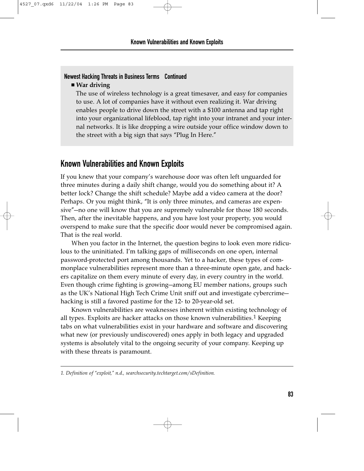# Newest Hacking Threats in Business Terms Continued

■ War driving

The use of wireless technology is a great timesaver, and easy for companies to use. A lot of companies have it without even realizing it. War driving enables people to drive down the street with a \$100 antenna and tap right into your organizational lifeblood, tap right into your intranet and your internal networks. It is like dropping a wire outside your office window down to the street with a big sign that says "Plug In Here."

# Known Vulnerabilities and Known Exploits

If you knew that your company's warehouse door was often left unguarded for three minutes during a daily shift change, would you do something about it? A better lock? Change the shift schedule? Maybe add a video camera at the door? Perhaps. Or you might think, "It is only three minutes, and cameras are expensive"—no one will know that you are supremely vulnerable for those 180 seconds. Then, after the inevitable happens, and you have lost your property, you would overspend to make sure that the specific door would never be compromised again. That is the real world.

When you factor in the Internet, the question begins to look even more ridiculous to the uninitiated. I'm talking gaps of milliseconds on one open, internal password-protected port among thousands. Yet to a hacker, these types of commonplace vulnerabilities represent more than a three-minute open gate, and hackers capitalize on them every minute of every day, in every country in the world. Even though crime fighting is growing—among EU member nations, groups such as the UK's National High Tech Crime Unit sniff out and investigate cybercrime hacking is still a favored pastime for the 12- to 20-year-old set.

Known vulnerabilities are weaknesses inherent within existing technology of all types. Exploits are hacker attacks on those known vulnerabilities.<sup>1</sup> Keeping tabs on what vulnerabilities exist in your hardware and software and discovering what new (or previously undiscovered) ones apply in both legacy and upgraded systems is absolutely vital to the ongoing security of your company. Keeping up with these threats is paramount.

*1. Definition of "exploit," n.d., searchsecurity.techtarget.com/sDefinition.*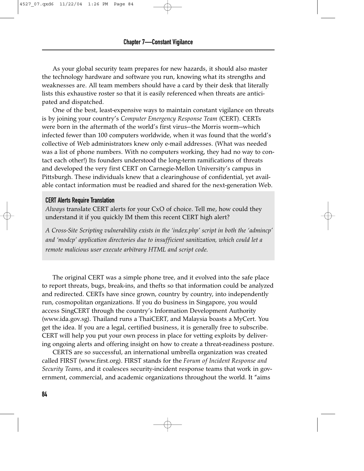Chapter 7—Constant Vigilance

As your global security team prepares for new hazards, it should also master the technology hardware and software you run, knowing what its strengths and weaknesses are. All team members should have a card by their desk that literally lists this exhaustive roster so that it is easily referenced when threats are anticipated and dispatched.

One of the best, least-expensive ways to maintain constant vigilance on threats is by joining your country's *Computer Emergency Response Team* (CERT). CERTs were born in the aftermath of the world's first virus—the Morris worm—which infected fewer than 100 computers worldwide, when it was found that the world's collective of Web administrators knew only e-mail addresses. (What was needed was a list of phone numbers. With no computers working, they had no way to contact each other!) Its founders understood the long-term ramifications of threats and developed the very first CERT on Carnegie-Mellon University's campus in Pittsburgh. These individuals knew that a clearinghouse of confidential, yet available contact information must be readied and shared for the next-generation Web.

### CERT Alerts Require Translation

*Always* translate CERT alerts for your CxO of choice. Tell me, how could they understand it if you quickly IM them this recent CERT high alert?

*A Cross-Site Scripting vulnerability exists in the 'index.php' script in both the 'admincp' and 'modcp' application directories due to insufficient sanitization, which could let a remote malicious user execute arbitrary HTML and script code.*

The original CERT was a simple phone tree, and it evolved into the safe place to report threats, bugs, break-ins, and thefts so that information could be analyzed and redirected. CERTs have since grown, country by country, into independently run, cosmopolitan organizations. If you do business in Singapore, you would access SingCERT through the country's Information Development Authority (www.ida.gov.sg). Thailand runs a ThaiCERT, and Malaysia boasts a MyCert. You get the idea. If you are a legal, certified business, it is generally free to subscribe. CERT will help you put your own process in place for vetting exploits by delivering ongoing alerts and offering insight on how to create a threat-readiness posture.

CERTS are so successful, an international umbrella organization was created called FIRST (www.first.org). FIRST stands for the *Forum of Incident Response and Security Teams*, and it coalesces security-incident response teams that work in government, commercial, and academic organizations throughout the world. It "aims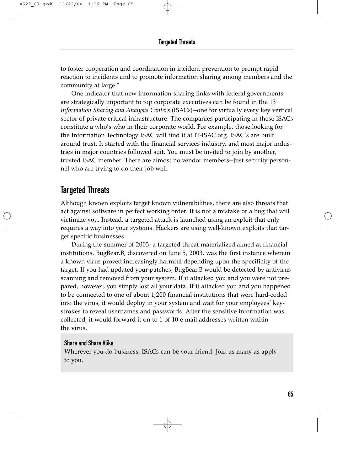Targeted Threats

to foster cooperation and coordination in incident prevention to prompt rapid reaction to incidents and to promote information sharing among members and the community at large."

One indicator that new information-sharing links with federal governments are strategically important to top corporate executives can be found in the 13 *Information Sharing and Analysis Centers* (ISACs)—one for virtually every key vertical sector of private critical infrastructure. The companies participating in these ISACs constitute a who's who in their corporate world. For example, those looking for the Information Technology ISAC will find it at IT-ISAC.org. ISAC's are built around trust. It started with the financial services industry, and most major industries in major countries followed suit. You must be invited to join by another, trusted ISAC member. There are almost no vendor members—just security personnel who are trying to do their job well.

# Targeted Threats

Although known exploits target known vulnerabilities, there are also threats that act against software in perfect working order. It is not a mistake or a bug that will victimize you. Instead, a targeted attack is launched using an exploit that only requires a way into your systems. Hackers are using well-known exploits that target specific businesses.

During the summer of 2003, a targeted threat materialized aimed at financial institutions. BugBear.B, discovered on June 5, 2003, was the first instance wherein a known virus proved increasingly harmful depending upon the specificity of the target. If you had updated your patches, BugBear.B would be detected by antivirus scanning and removed from your system. If it attacked you and you were not prepared, however, you simply lost all your data. If it attacked you and you happened to be connected to one of about 1,200 financial institutions that were hard-coded into the virus, it would deploy in your system and wait for your employees' keystrokes to reveal usernames and passwords. After the sensitive information was collected, it would forward it on to 1 of 10 e-mail addresses written within the virus.

### Share and Share Alike

Wherever you do business, ISACs can be your friend. Join as many as apply to you.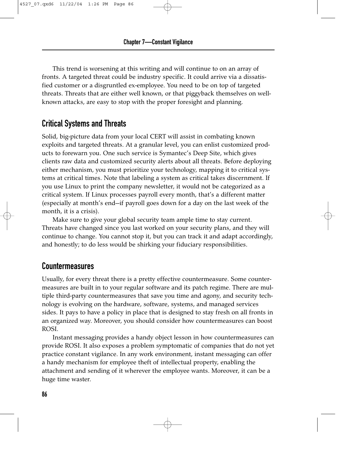Chapter 7—Constant Vigilance

This trend is worsening at this writing and will continue to on an array of fronts. A targeted threat could be industry specific. It could arrive via a dissatisfied customer or a disgruntled ex-employee. You need to be on top of targeted threats. Threats that are either well known, or that piggyback themselves on wellknown attacks, are easy to stop with the proper foresight and planning.

# Critical Systems and Threats

Solid, big-picture data from your local CERT will assist in combating known exploits and targeted threats. At a granular level, you can enlist customized products to forewarn you. One such service is Symantec's Deep Site, which gives clients raw data and customized security alerts about all threats. Before deploying either mechanism, you must prioritize your technology, mapping it to critical systems at critical times. Note that labeling a system as critical takes discernment. If you use Linux to print the company newsletter, it would not be categorized as a critical system. If Linux processes payroll every month, that's a different matter (especially at month's end—if payroll goes down for a day on the last week of the month, it is a crisis).

Make sure to give your global security team ample time to stay current. Threats have changed since you last worked on your security plans, and they will continue to change. You cannot stop it, but you can track it and adapt accordingly, and honestly; to do less would be shirking your fiduciary responsibilities.

# Countermeasures

Usually, for every threat there is a pretty effective countermeasure. Some countermeasures are built in to your regular software and its patch regime. There are multiple third-party countermeasures that save you time and agony, and security technology is evolving on the hardware, software, systems, and managed services sides. It pays to have a policy in place that is designed to stay fresh on all fronts in an organized way. Moreover, you should consider how countermeasures can boost ROSI.

Instant messaging provides a handy object lesson in how countermeasures can provide ROSI. It also exposes a problem symptomatic of companies that do not yet practice constant vigilance. In any work environment, instant messaging can offer a handy mechanism for employee theft of intellectual property, enabling the attachment and sending of it wherever the employee wants. Moreover, it can be a huge time waster.

86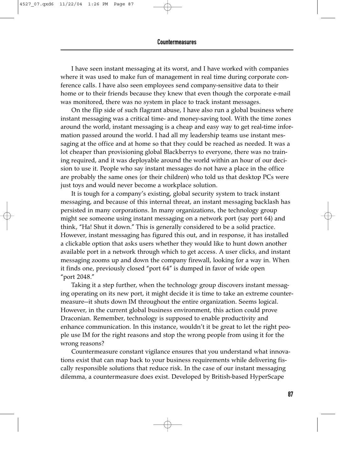Countermeasures

I have seen instant messaging at its worst, and I have worked with companies where it was used to make fun of management in real time during corporate conference calls. I have also seen employees send company-sensitive data to their home or to their friends because they knew that even though the corporate e-mail was monitored, there was no system in place to track instant messages.

On the flip side of such flagrant abuse, I have also run a global business where instant messaging was a critical time- and money-saving tool. With the time zones around the world, instant messaging is a cheap and easy way to get real-time information passed around the world. I had all my leadership teams use instant messaging at the office and at home so that they could be reached as needed. It was a lot cheaper than provisioning global Blackberrys to everyone, there was no training required, and it was deployable around the world within an hour of our decision to use it. People who say instant messages do not have a place in the office are probably the same ones (or their children) who told us that desktop PCs were just toys and would never become a workplace solution.

It is tough for a company's existing, global security system to track instant messaging, and because of this internal threat, an instant messaging backlash has persisted in many corporations. In many organizations, the technology group might see someone using instant messaging on a network port (say port 64) and think, "Ha! Shut it down." This is generally considered to be a solid practice. However, instant messaging has figured this out, and in response, it has installed a clickable option that asks users whether they would like to hunt down another available port in a network through which to get access. A user clicks, and instant messaging zooms up and down the company firewall, looking for a way in. When it finds one, previously closed "port 64" is dumped in favor of wide open "port 2048."

Taking it a step further, when the technology group discovers instant messaging operating on its new port, it might decide it is time to take an extreme countermeasure—it shuts down IM throughout the entire organization. Seems logical. However, in the current global business environment, this action could prove Draconian. Remember, technology is supposed to enable productivity and enhance communication. In this instance, wouldn't it be great to let the right people use IM for the right reasons and stop the wrong people from using it for the wrong reasons?

Countermeasure constant vigilance ensures that you understand what innovations exist that can map back to your business requirements while delivering fiscally responsible solutions that reduce risk. In the case of our instant messaging dilemma, a countermeasure does exist. Developed by British-based HyperScape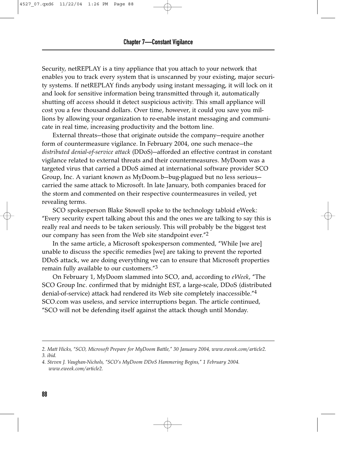Security, netREPLAY is a tiny appliance that you attach to your network that enables you to track every system that is unscanned by your existing, major security systems. If netREPLAY finds anybody using instant messaging, it will lock on it and look for sensitive information being transmitted through it, automatically shutting off access should it detect suspicious activity. This small appliance will cost you a few thousand dollars. Over time, however, it could you save you millions by allowing your organization to re-enable instant messaging and communicate in real time, increasing productivity and the bottom line.

External threats—those that originate outside the company—require another form of countermeasure vigilance. In February 2004, one such menace—the *distributed denial-of-service attack* (DDoS)—afforded an effective contrast in constant vigilance related to external threats and their countermeasures. MyDoom was a targeted virus that carried a DDoS aimed at international software provider SCO Group, Inc. A variant known as MyDoom.b—bug-plagued but no less serious carried the same attack to Microsoft. In late January, both companies braced for the storm and commented on their respective countermeasures in veiled, yet revealing terms.

SCO spokesperson Blake Stowell spoke to the technology tabloid eWeek: "Every security expert talking about this and the ones we are talking to say this is really real and needs to be taken seriously. This will probably be the biggest test our company has seen from the Web site standpoint ever."<sup>2</sup>

In the same article, a Microsoft spokesperson commented, "While [we are] unable to discuss the specific remedies [we] are taking to prevent the reported DDoS attack, we are doing everything we can to ensure that Microsoft properties remain fully available to our customers."3

On February 1, MyDoom slammed into SCO, and, according to *eWeek*, "The SCO Group Inc. confirmed that by midnight EST, a large-scale, DDoS (distributed denial-of-service) attack had rendered its Web site completely inaccessible."4 SCO.com was useless, and service interruptions began. The article continued, "SCO will not be defending itself against the attack though until Monday.

*2. Matt Hicks, "SCO, Microsoft Prepare for MyDoom Battle," 30 January 2004, www.eweek.com/article2. 3. ibid.*

*4. Steven J. Vaughan-Nichols, "SCO's MyDoom DDoS Hammering Begins," 1 February 2004. www.eweek.com/article2.*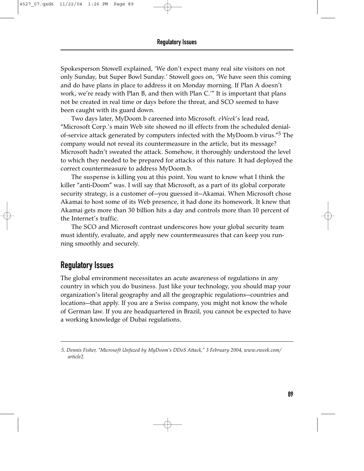Regulatory Issues

Spokesperson Stowell explained, 'We don't expect many real site visitors on not only Sunday, but Super Bowl Sunday.' Stowell goes on, 'We have seen this coming and do have plans in place to address it on Monday morning. If Plan A doesn't work, we're ready with Plan B, and then with Plan C.'" It is important that plans not be created in real time or days before the threat, and SCO seemed to have been caught with its guard down.

Two days later, MyDoom.b careened into Microsoft. *eWeek*'s lead read, "Microsoft Corp.'s main Web site showed no ill effects from the scheduled denialof-service attack generated by computers infected with the MyDoom.b virus."5 The company would not reveal its countermeasure in the article, but its message? Microsoft hadn't sweated the attack. Somehow, it thoroughly understood the level to which they needed to be prepared for attacks of this nature. It had deployed the correct countermeasure to address MyDoom.b.

The suspense is killing you at this point. You want to know what I think the killer "anti-Doom" was. I will say that Microsoft, as a part of its global corporate security strategy, is a customer of—you guessed it—Akamai. When Microsoft chose Akamai to host some of its Web presence, it had done its homework. It knew that Akamai gets more than 30 billion hits a day and controls more than 10 percent of the Internet's traffic.

The SCO and Microsoft contrast underscores how your global security team must identify, evaluate, and apply new countermeasures that can keep you running smoothly and securely.

# Regulatory Issues

The global environment necessitates an acute awareness of regulations in any country in which you do business. Just like your technology, you should map your organization's literal geography and all the geographic regulations—countries and locations—that apply. If you are a Swiss company, you might not know the whole of German law. If you are headquartered in Brazil, you cannot be expected to have a working knowledge of Dubai regulations.

*5. Dennis Fisher, "Microsoft Unfazed by MyDoom's DDoS Attack," 3 February 2004, www.eweek.com/ article2.*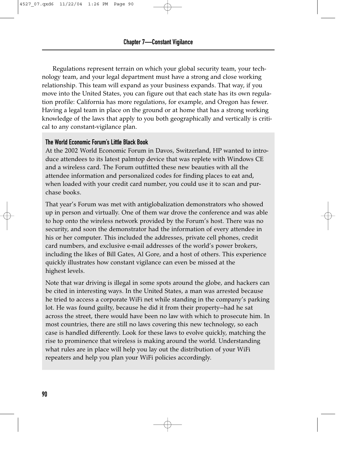Regulations represent terrain on which your global security team, your technology team, and your legal department must have a strong and close working relationship. This team will expand as your business expands. That way, if you move into the United States, you can figure out that each state has its own regulation profile: California has more regulations, for example, and Oregon has fewer. Having a legal team in place on the ground or at home that has a strong working knowledge of the laws that apply to you both geographically and vertically is critical to any constant-vigilance plan.

### The World Economic Forum's Little Black Book

At the 2002 World Economic Forum in Davos, Switzerland, HP wanted to introduce attendees to its latest palmtop device that was replete with Windows CE and a wireless card. The Forum outfitted these new beauties with all the attendee information and personalized codes for finding places to eat and, when loaded with your credit card number, you could use it to scan and purchase books.

That year's Forum was met with antiglobalization demonstrators who showed up in person and virtually. One of them war drove the conference and was able to hop onto the wireless network provided by the Forum's host. There was no security, and soon the demonstrator had the information of every attendee in his or her computer. This included the addresses, private cell phones, credit card numbers, and exclusive e-mail addresses of the world's power brokers, including the likes of Bill Gates, Al Gore, and a host of others. This experience quickly illustrates how constant vigilance can even be missed at the highest levels.

Note that war driving is illegal in some spots around the globe, and hackers can be cited in interesting ways. In the United States, a man was arrested because he tried to access a corporate WiFi net while standing in the company's parking lot. He was found guilty, because he did it from their property—had he sat across the street, there would have been no law with which to prosecute him. In most countries, there are still no laws covering this new technology, so each case is handled differently. Look for these laws to evolve quickly, matching the rise to prominence that wireless is making around the world. Understanding what rules are in place will help you lay out the distribution of your WiFi repeaters and help you plan your WiFi policies accordingly.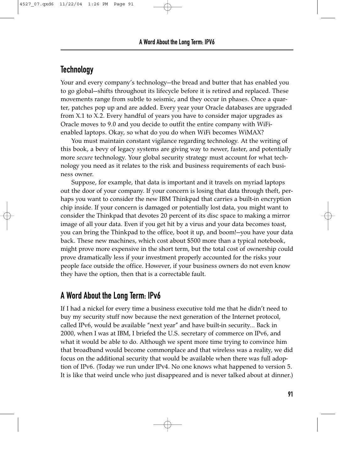# **Technology**

Your and every company's technology—the bread and butter that has enabled you to go global—shifts throughout its lifecycle before it is retired and replaced. These movements range from subtle to seismic, and they occur in phases. Once a quarter, patches pop up and are added. Every year your Oracle databases are upgraded from X.1 to X.2. Every handful of years you have to consider major upgrades as Oracle moves to 9.0 and you decide to outfit the entire company with WiFienabled laptops. Okay, so what do you do when WiFi becomes WiMAX?

You must maintain constant vigilance regarding technology. At the writing of this book, a bevy of legacy systems are giving way to newer, faster, and potentially more *secure* technology. Your global security strategy must account for what technology you need as it relates to the risk and business requirements of each business owner.

Suppose, for example, that data is important and it travels on myriad laptops out the door of your company. If your concern is losing that data through theft, perhaps you want to consider the new IBM Thinkpad that carries a built-in encryption chip inside. If your concern is damaged or potentially lost data, you might want to consider the Thinkpad that devotes 20 percent of its disc space to making a mirror image of all your data. Even if you get hit by a virus and your data becomes toast, you can bring the Thinkpad to the office, boot it up, and boom!—you have your data back. These new machines, which cost about \$500 more than a typical notebook, might prove more expensive in the short term, but the total cost of ownership could prove dramatically less if your investment properly accounted for the risks your people face outside the office. However, if your business owners do not even know they have the option, then that is a correctable fault.

# A Word About the Long Term: IPv6

If I had a nickel for every time a business executive told me that he didn't need to buy my security stuff now because the next generation of the Internet protocol, called IPv6, would be available "next year" and have built-in security... Back in 2000, when I was at IBM, I briefed the U.S. secretary of commerce on IPv6, and what it would be able to do. Although we spent more time trying to convince him that broadband would become commonplace and that wireless was a reality, we did focus on the additional security that would be available when there was full adoption of IPv6. (Today we run under IPv4. No one knows what happened to version 5. It is like that weird uncle who just disappeared and is never talked about at dinner.)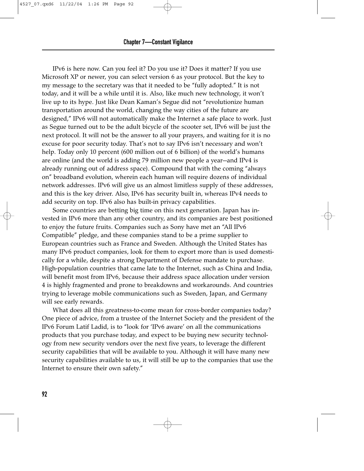Chapter 7—Constant Vigilance

IPv6 is here now. Can you feel it? Do you use it? Does it matter? If you use Microsoft XP or newer, you can select version 6 as your protocol. But the key to my message to the secretary was that it needed to be "fully adopted." It is not today, and it will be a while until it is. Also, like much new technology, it won't live up to its hype. Just like Dean Kaman's Segue did not "revolutionize human transportation around the world, changing the way cities of the future are designed," IPv6 will not automatically make the Internet a safe place to work. Just as Segue turned out to be the adult bicycle of the scooter set, IPv6 will be just the next protocol. It will not be the answer to all your prayers, and waiting for it is no excuse for poor security today. That's not to say IPv6 isn't necessary and won't help. Today only 10 percent (600 million out of 6 billion) of the world's humans are online (and the world is adding 79 million new people a year—and IPv4 is already running out of address space). Compound that with the coming "always on" broadband evolution, wherein each human will require dozens of individual network addresses. IPv6 will give us an almost limitless supply of these addresses, and this is the key driver. Also, IPv6 has security built in, whereas IPv4 needs to add security on top. IPv6 also has built-in privacy capabilities.

Some countries are betting big time on this next generation. Japan has invested in IPv6 more than any other country, and its companies are best positioned to enjoy the future fruits. Companies such as Sony have met an "All IPv6 Compatible" pledge, and these companies stand to be a prime supplier to European countries such as France and Sweden. Although the United States has many IPv6 product companies, look for them to export more than is used domestically for a while, despite a strong Department of Defense mandate to purchase. High-population countries that came late to the Internet, such as China and India, will benefit most from IPv6, because their address space allocation under version 4 is highly fragmented and prone to breakdowns and workarounds. And countries trying to leverage mobile communications such as Sweden, Japan, and Germany will see early rewards.

What does all this greatness-to-come mean for cross-border companies today? One piece of advice, from a trustee of the Internet Society and the president of the IPv6 Forum Latif Ladid, is to "look for 'IPv6 aware' on all the communications products that you purchase today, and expect to be buying new security technology from new security vendors over the next five years, to leverage the different security capabilities that will be available to you. Although it will have many new security capabilities available to us, it will still be up to the companies that use the Internet to ensure their own safety."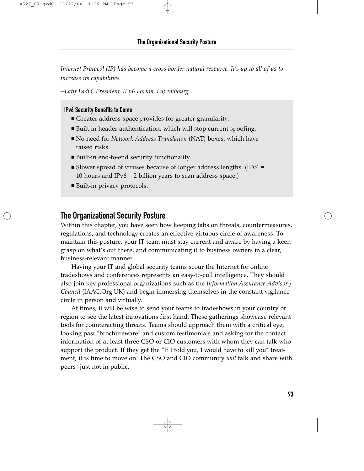### The Organizational Security Posture

*Internet Protocol (IP) has become a cross-border natural resource. It's up to all of us to increase its capabilities.*

*—Latif Ladid, President, IPv6 Forum, Luxembourg* 

### IPv6 Security Benefits to Come

- Greater address space provides for greater granularity.
- Built-in header authentication, which will stop current spoofing.
- No need for *Network Address Translation* (NAT) boxes, which have raised risks.
- Built-in end-to-end security functionality.
- Slower spread of viruses because of longer address lengths. (IPv4 = 10 hours and IPv6 = 2 billion years to scan address space.)
- Built-in privacy protocols.

## The Organizational Security Posture

Within this chapter, you have seen how keeping tabs on threats, countermeasures, regulations, and technology creates an effective virtuous circle of awareness. To maintain this posture, your IT team must stay current and aware by having a keen grasp on what's out there, and communicating it to business owners in a clear, business-relevant manner.

Having your IT and global security teams scour the Internet for online tradeshows and conferences represents an easy-to-cull intelligence. They should also join key professional organizations such as the *Information Assurance Advisory Council* (IAAC.Org.UK) and begin immersing themselves in the constant-vigilance circle in person and virtually.

At times, it will be wise to send your teams to tradeshows in your country or region to see the latest innovations first hand. These gatherings showcase relevant tools for counteracting threats. Teams should approach them with a critical eye, looking past "brochureware" and custom testimonials and asking for the contact information of at least three CSO or CIO customers with whom they can talk who support the product. If they get the "If I told you, I would have to kill you" treatment, it is time to move on. The CSO and CIO community *will* talk and share with peers—just not in public.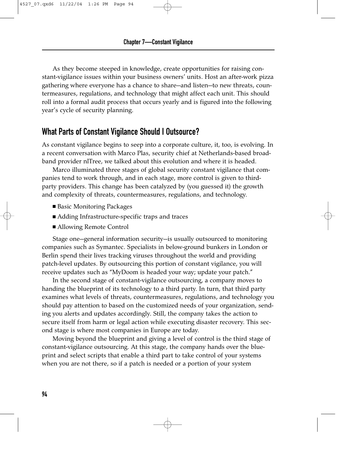As they become steeped in knowledge, create opportunities for raising constant-vigilance issues within your business owners' units. Host an after-work pizza gathering where everyone has a chance to share—and listen—to new threats, countermeasures, regulations, and technology that might affect each unit. This should roll into a formal audit process that occurs yearly and is figured into the following year's cycle of security planning.

# What Parts of Constant Vigilance Should I Outsource?

As constant vigilance begins to seep into a corporate culture, it, too, is evolving. In a recent conversation with Marco Plas, security chief at Netherlands-based broadband provider nlTree, we talked about this evolution and where it is headed.

Marco illuminated three stages of global security constant vigilance that companies tend to work through, and in each stage, more control is given to thirdparty providers. This change has been catalyzed by (you guessed it) the growth and complexity of threats, countermeasures, regulations, and technology.

- Basic Monitoring Packages
- Adding Infrastructure-specific traps and traces
- Allowing Remote Control

Stage one—general information security—is usually outsourced to monitoring companies such as Symantec. Specialists in below-ground bunkers in London or Berlin spend their lives tracking viruses throughout the world and providing patch-level updates. By outsourcing this portion of constant vigilance, you will receive updates such as "MyDoom is headed your way; update your patch."

In the second stage of constant-vigilance outsourcing, a company moves to handing the blueprint of its technology to a third party. In turn, that third party examines what levels of threats, countermeasures, regulations, and technology you should pay attention to based on the customized needs of your organization, sending you alerts and updates accordingly. Still, the company takes the action to secure itself from harm or legal action while executing disaster recovery. This second stage is where most companies in Europe are today.

Moving beyond the blueprint and giving a level of control is the third stage of constant-vigilance outsourcing. At this stage, the company hands over the blueprint and select scripts that enable a third part to take control of your systems when you are not there, so if a patch is needed or a portion of your system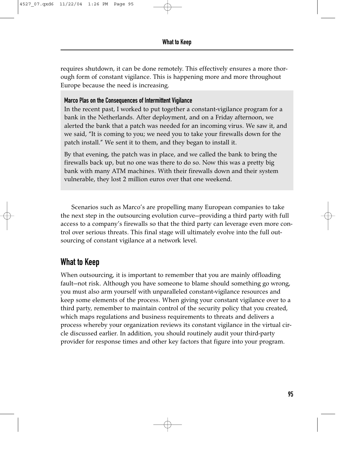What to Keep

requires shutdown, it can be done remotely. This effectively ensures a more thorough form of constant vigilance. This is happening more and more throughout Europe because the need is increasing.

### Marco Plas on the Consequences of Intermittent Vigilance

In the recent past, I worked to put together a constant-vigilance program for a bank in the Netherlands. After deployment, and on a Friday afternoon, we alerted the bank that a patch was needed for an incoming virus. We saw it, and we said, "It is coming to you; we need you to take your firewalls down for the patch install." We sent it to them, and they began to install it.

By that evening, the patch was in place, and we called the bank to bring the firewalls back up, but no one was there to do so. Now this was a pretty big bank with many ATM machines. With their firewalls down and their system vulnerable, they lost 2 million euros over that one weekend.

Scenarios such as Marco's are propelling many European companies to take the next step in the outsourcing evolution curve—providing a third party with full access to a company's firewalls so that the third party can leverage even more control over serious threats. This final stage will ultimately evolve into the full outsourcing of constant vigilance at a network level.

# What to Keep

When outsourcing, it is important to remember that you are mainly offloading fault—not risk. Although you have someone to blame should something go wrong, you must also arm yourself with unparalleled constant-vigilance resources and keep some elements of the process. When giving your constant vigilance over to a third party, remember to maintain control of the security policy that you created, which maps regulations and business requirements to threats and delivers a process whereby your organization reviews its constant vigilance in the virtual circle discussed earlier. In addition, you should routinely audit your third-party provider for response times and other key factors that figure into your program.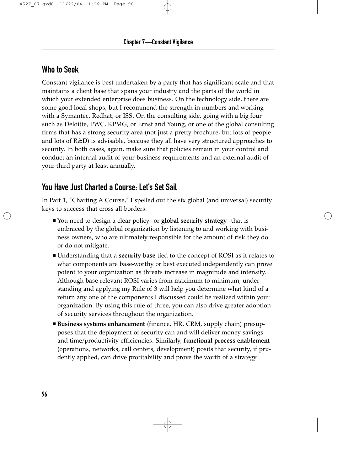Chapter 7—Constant Vigilance

# Who to Seek

Constant vigilance is best undertaken by a party that has significant scale and that maintains a client base that spans your industry and the parts of the world in which your extended enterprise does business. On the technology side, there are some good local shops, but I recommend the strength in numbers and working with a Symantec, Redhat, or ISS. On the consulting side, going with a big four such as Deloitte, PWC, KPMG, or Ernst and Young, or one of the global consulting firms that has a strong security area (not just a pretty brochure, but lots of people and lots of R&D) is advisable, because they all have very structured approaches to security. In both cases, again, make sure that policies remain in your control and conduct an internal audit of your business requirements and an external audit of your third party at least annually.

# You Have Just Charted a Course: Let's Set Sail

In Part 1, "Charting A Course," I spelled out the six global (and universal) security keys to success that cross all borders:

- You need to design a clear policy—or **global security strategy—that** is embraced by the global organization by listening to and working with business owners, who are ultimately responsible for the amount of risk they do or do not mitigate.
- Understanding that a **security base** tied to the concept of ROSI as it relates to what components are base-worthy or best executed independently can prove potent to your organization as threats increase in magnitude and intensity. Although base-relevant ROSI varies from maximum to minimum, understanding and applying my Rule of 3 will help you determine what kind of a return any one of the components I discussed could be realized within your organization. By using this rule of three, you can also drive greater adoption of security services throughout the organization.
- **Business systems enhancement** (finance, HR, CRM, supply chain) presupposes that the deployment of security can and will deliver money savings and time/productivity efficiencies. Similarly, **functional process enablement** (operations, networks, call centers, development) posits that security, if prudently applied, can drive profitability and prove the worth of a strategy.

96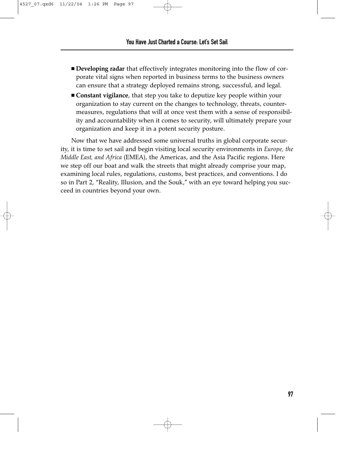- **Developing radar** that effectively integrates monitoring into the flow of corporate vital signs when reported in business terms to the business owners can ensure that a strategy deployed remains strong, successful, and legal.
- **Constant vigilance**, that step you take to deputize key people within your organization to stay current on the changes to technology, threats, countermeasures, regulations that will at once vest them with a sense of responsibility and accountability when it comes to security, will ultimately prepare your organization and keep it in a potent security posture.

Now that we have addressed some universal truths in global corporate security, it is time to set sail and begin visiting local security environments in *Europe, the Middle East, and Africa* (EMEA), the Americas, and the Asia Pacific regions. Here we step off our boat and walk the streets that might already comprise your map, examining local rules, regulations, customs, best practices, and conventions. I do so in Part 2, "Reality, Illusion, and the Souk," with an eye toward helping you succeed in countries beyond your own.